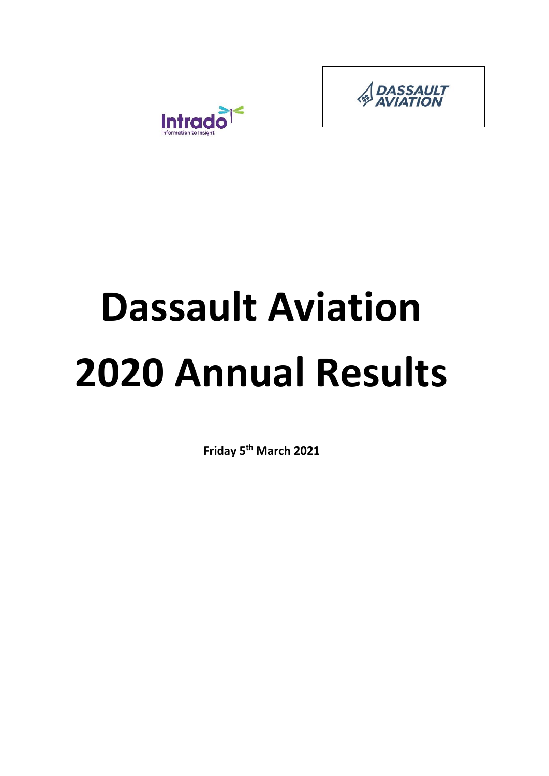

# **Dassault Aviation 2020 Annual Results**

**Friday 5th March 2021**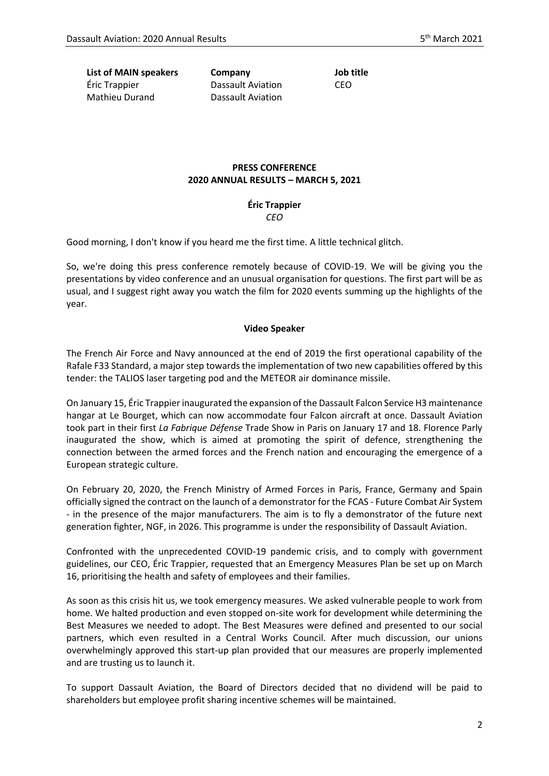**List of MAIN speakers Company Job title** Éric Trappier Mathieu Durand

Dassault Aviation Dassault Aviation CEO

# **PRESS CONFERENCE 2020 ANNUAL RESULTS – MARCH 5, 2021**

#### **Éric Trappier** *CEO*

Good morning, I don't know if you heard me the first time. A little technical glitch.

So, we're doing this press conference remotely because of COVID-19. We will be giving you the presentations by video conference and an unusual organisation for questions. The first part will be as usual, and I suggest right away you watch the film for 2020 events summing up the highlights of the year.

#### **Video Speaker**

The French Air Force and Navy announced at the end of 2019 the first operational capability of the Rafale F33 Standard, a major step towards the implementation of two new capabilities offered by this tender: the TALIOS laser targeting pod and the METEOR air dominance missile.

On January 15, Éric Trappier inaugurated the expansion of the Dassault Falcon Service H3 maintenance hangar at Le Bourget, which can now accommodate four Falcon aircraft at once. Dassault Aviation took part in their first *La Fabrique Défense* Trade Show in Paris on January 17 and 18. Florence Parly inaugurated the show, which is aimed at promoting the spirit of defence, strengthening the connection between the armed forces and the French nation and encouraging the emergence of a European strategic culture.

On February 20, 2020, the French Ministry of Armed Forces in Paris, France, Germany and Spain officially signed the contract on the launch of a demonstrator for the FCAS - Future Combat Air System - in the presence of the major manufacturers. The aim is to fly a demonstrator of the future next generation fighter, NGF, in 2026. This programme is under the responsibility of Dassault Aviation.

Confronted with the unprecedented COVID-19 pandemic crisis, and to comply with government guidelines, our CEO, Éric Trappier, requested that an Emergency Measures Plan be set up on March 16, prioritising the health and safety of employees and their families.

As soon as this crisis hit us, we took emergency measures. We asked vulnerable people to work from home. We halted production and even stopped on-site work for development while determining the Best Measures we needed to adopt. The Best Measures were defined and presented to our social partners, which even resulted in a Central Works Council. After much discussion, our unions overwhelmingly approved this start-up plan provided that our measures are properly implemented and are trusting us to launch it.

To support Dassault Aviation, the Board of Directors decided that no dividend will be paid to shareholders but employee profit sharing incentive schemes will be maintained.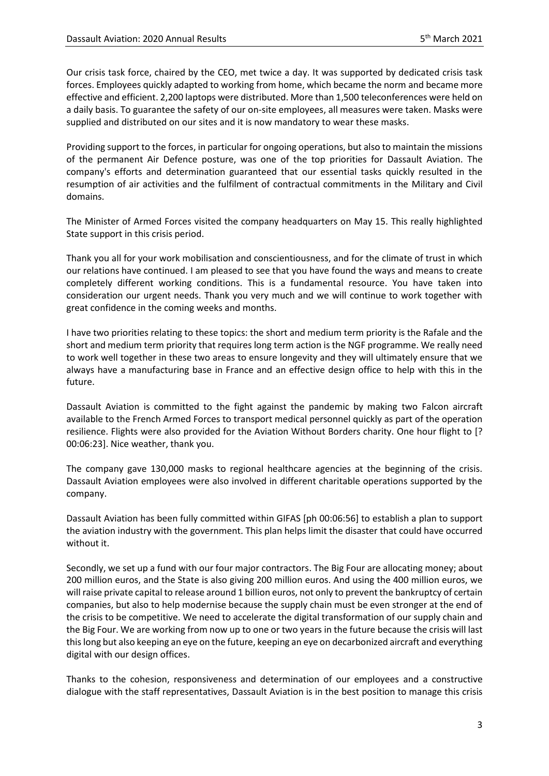Our crisis task force, chaired by the CEO, met twice a day. It was supported by dedicated crisis task forces. Employees quickly adapted to working from home, which became the norm and became more effective and efficient. 2,200 laptops were distributed. More than 1,500 teleconferences were held on a daily basis. To guarantee the safety of our on-site employees, all measures were taken. Masks were supplied and distributed on our sites and it is now mandatory to wear these masks.

Providing support to the forces, in particular for ongoing operations, but also to maintain the missions of the permanent Air Defence posture, was one of the top priorities for Dassault Aviation. The company's efforts and determination guaranteed that our essential tasks quickly resulted in the resumption of air activities and the fulfilment of contractual commitments in the Military and Civil domains.

The Minister of Armed Forces visited the company headquarters on May 15. This really highlighted State support in this crisis period.

Thank you all for your work mobilisation and conscientiousness, and for the climate of trust in which our relations have continued. I am pleased to see that you have found the ways and means to create completely different working conditions. This is a fundamental resource. You have taken into consideration our urgent needs. Thank you very much and we will continue to work together with great confidence in the coming weeks and months.

I have two priorities relating to these topics: the short and medium term priority is the Rafale and the short and medium term priority that requires long term action is the NGF programme. We really need to work well together in these two areas to ensure longevity and they will ultimately ensure that we always have a manufacturing base in France and an effective design office to help with this in the future.

Dassault Aviation is committed to the fight against the pandemic by making two Falcon aircraft available to the French Armed Forces to transport medical personnel quickly as part of the operation resilience. Flights were also provided for the Aviation Without Borders charity. One hour flight to [? 00:06:23]. Nice weather, thank you.

The company gave 130,000 masks to regional healthcare agencies at the beginning of the crisis. Dassault Aviation employees were also involved in different charitable operations supported by the company.

Dassault Aviation has been fully committed within GIFAS [ph 00:06:56] to establish a plan to support the aviation industry with the government. This plan helps limit the disaster that could have occurred without it.

Secondly, we set up a fund with our four major contractors. The Big Four are allocating money; about 200 million euros, and the State is also giving 200 million euros. And using the 400 million euros, we will raise private capital to release around 1 billion euros, not only to prevent the bankruptcy of certain companies, but also to help modernise because the supply chain must be even stronger at the end of the crisis to be competitive. We need to accelerate the digital transformation of our supply chain and the Big Four. We are working from now up to one or two years in the future because the crisis will last this long but also keeping an eye on the future, keeping an eye on decarbonized aircraft and everything digital with our design offices.

Thanks to the cohesion, responsiveness and determination of our employees and a constructive dialogue with the staff representatives, Dassault Aviation is in the best position to manage this crisis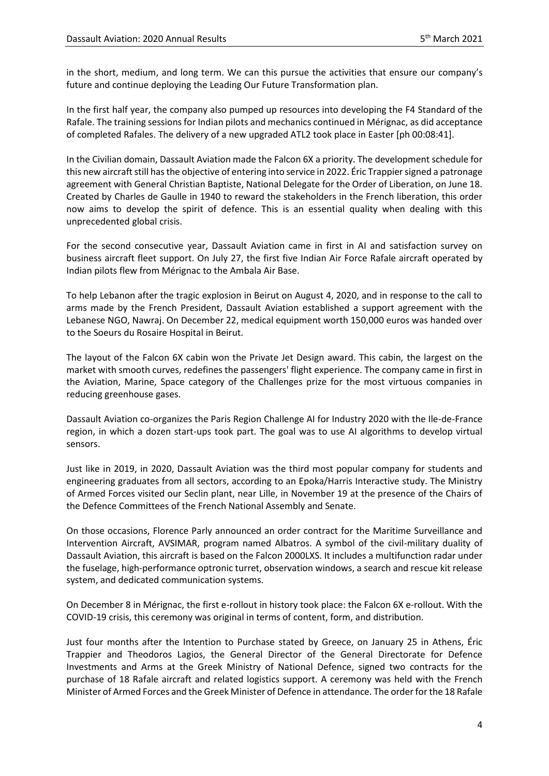in the short, medium, and long term. We can this pursue the activities that ensure our company's future and continue deploying the Leading Our Future Transformation plan.

In the first half year, the company also pumped up resources into developing the F4 Standard of the Rafale. The training sessions for Indian pilots and mechanics continued in Mérignac, as did acceptance of completed Rafales. The delivery of a new upgraded ATL2 took place in Easter [ph 00:08:41].

In the Civilian domain, Dassault Aviation made the Falcon 6X a priority. The development schedule for this new aircraft still has the objective of entering into service in 2022. Éric Trappier signed a patronage agreement with General Christian Baptiste, National Delegate for the Order of Liberation, on June 18. Created by Charles de Gaulle in 1940 to reward the stakeholders in the French liberation, this order now aims to develop the spirit of defence. This is an essential quality when dealing with this unprecedented global crisis.

For the second consecutive year, Dassault Aviation came in first in AI and satisfaction survey on business aircraft fleet support. On July 27, the first five Indian Air Force Rafale aircraft operated by Indian pilots flew from Mérignac to the Ambala Air Base.

To help Lebanon after the tragic explosion in Beirut on August 4, 2020, and in response to the call to arms made by the French President, Dassault Aviation established a support agreement with the Lebanese NGO, Nawraj. On December 22, medical equipment worth 150,000 euros was handed over to the Soeurs du Rosaire Hospital in Beirut.

The layout of the Falcon 6X cabin won the Private Jet Design award. This cabin, the largest on the market with smooth curves, redefines the passengers' flight experience. The company came in first in the Aviation, Marine, Space category of the Challenges prize for the most virtuous companies in reducing greenhouse gases.

Dassault Aviation co-organizes the Paris Region Challenge AI for Industry 2020 with the Ile-de-France region, in which a dozen start-ups took part. The goal was to use AI algorithms to develop virtual sensors.

Just like in 2019, in 2020, Dassault Aviation was the third most popular company for students and engineering graduates from all sectors, according to an Epoka/Harris Interactive study. The Ministry of Armed Forces visited our Seclin plant, near Lille, in November 19 at the presence of the Chairs of the Defence Committees of the French National Assembly and Senate.

On those occasions, Florence Parly announced an order contract for the Maritime Surveillance and Intervention Aircraft, AVSIMAR, program named Albatros. A symbol of the civil-military duality of Dassault Aviation, this aircraft is based on the Falcon 2000LXS. It includes a multifunction radar under the fuselage, high-performance optronic turret, observation windows, a search and rescue kit release system, and dedicated communication systems.

On December 8 in Mérignac, the first e-rollout in history took place: the Falcon 6X e-rollout. With the COVID-19 crisis, this ceremony was original in terms of content, form, and distribution.

Just four months after the Intention to Purchase stated by Greece, on January 25 in Athens, Éric Trappier and Theodoros Lagios, the General Director of the General Directorate for Defence Investments and Arms at the Greek Ministry of National Defence, signed two contracts for the purchase of 18 Rafale aircraft and related logistics support. A ceremony was held with the French Minister of Armed Forces and the Greek Minister of Defence in attendance. The order for the 18 Rafale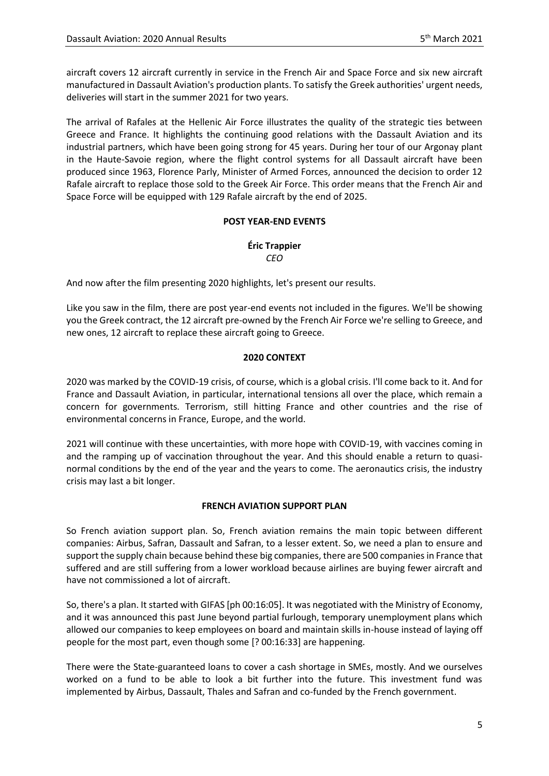aircraft covers 12 aircraft currently in service in the French Air and Space Force and six new aircraft manufactured in Dassault Aviation's production plants. To satisfy the Greek authorities' urgent needs, deliveries will start in the summer 2021 for two years.

The arrival of Rafales at the Hellenic Air Force illustrates the quality of the strategic ties between Greece and France. It highlights the continuing good relations with the Dassault Aviation and its industrial partners, which have been going strong for 45 years. During her tour of our Argonay plant in the Haute-Savoie region, where the flight control systems for all Dassault aircraft have been produced since 1963, Florence Parly, Minister of Armed Forces, announced the decision to order 12 Rafale aircraft to replace those sold to the Greek Air Force. This order means that the French Air and Space Force will be equipped with 129 Rafale aircraft by the end of 2025.

## **POST YEAR-END EVENTS**

# **Éric Trappier** *CEO*

And now after the film presenting 2020 highlights, let's present our results.

Like you saw in the film, there are post year-end events not included in the figures. We'll be showing you the Greek contract, the 12 aircraft pre-owned by the French Air Force we're selling to Greece, and new ones, 12 aircraft to replace these aircraft going to Greece.

## **2020 CONTEXT**

2020 was marked by the COVID-19 crisis, of course, which is a global crisis. I'll come back to it. And for France and Dassault Aviation, in particular, international tensions all over the place, which remain a concern for governments. Terrorism, still hitting France and other countries and the rise of environmental concerns in France, Europe, and the world.

2021 will continue with these uncertainties, with more hope with COVID-19, with vaccines coming in and the ramping up of vaccination throughout the year. And this should enable a return to quasinormal conditions by the end of the year and the years to come. The aeronautics crisis, the industry crisis may last a bit longer.

#### **FRENCH AVIATION SUPPORT PLAN**

So French aviation support plan. So, French aviation remains the main topic between different companies: Airbus, Safran, Dassault and Safran, to a lesser extent. So, we need a plan to ensure and support the supply chain because behind these big companies, there are 500 companies in France that suffered and are still suffering from a lower workload because airlines are buying fewer aircraft and have not commissioned a lot of aircraft.

So, there's a plan. It started with GIFAS [ph 00:16:05]. It was negotiated with the Ministry of Economy, and it was announced this past June beyond partial furlough, temporary unemployment plans which allowed our companies to keep employees on board and maintain skills in-house instead of laying off people for the most part, even though some [? 00:16:33] are happening.

There were the State-guaranteed loans to cover a cash shortage in SMEs, mostly. And we ourselves worked on a fund to be able to look a bit further into the future. This investment fund was implemented by Airbus, Dassault, Thales and Safran and co-funded by the French government.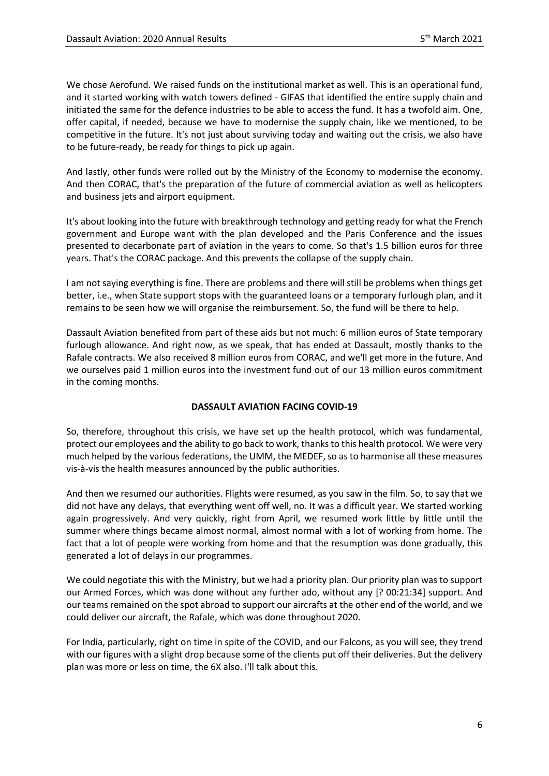We chose Aerofund. We raised funds on the institutional market as well. This is an operational fund, and it started working with watch towers defined - GIFAS that identified the entire supply chain and initiated the same for the defence industries to be able to access the fund. It has a twofold aim. One, offer capital, if needed, because we have to modernise the supply chain, like we mentioned, to be competitive in the future. It's not just about surviving today and waiting out the crisis, we also have to be future-ready, be ready for things to pick up again.

And lastly, other funds were rolled out by the Ministry of the Economy to modernise the economy. And then CORAC, that's the preparation of the future of commercial aviation as well as helicopters and business jets and airport equipment.

It's about looking into the future with breakthrough technology and getting ready for what the French government and Europe want with the plan developed and the Paris Conference and the issues presented to decarbonate part of aviation in the years to come. So that's 1.5 billion euros for three years. That's the CORAC package. And this prevents the collapse of the supply chain.

I am not saying everything is fine. There are problems and there will still be problems when things get better, i.e., when State support stops with the guaranteed loans or a temporary furlough plan, and it remains to be seen how we will organise the reimbursement. So, the fund will be there to help.

Dassault Aviation benefited from part of these aids but not much: 6 million euros of State temporary furlough allowance. And right now, as we speak, that has ended at Dassault, mostly thanks to the Rafale contracts. We also received 8 million euros from CORAC, and we'll get more in the future. And we ourselves paid 1 million euros into the investment fund out of our 13 million euros commitment in the coming months.

#### **DASSAULT AVIATION FACING COVID-19**

So, therefore, throughout this crisis, we have set up the health protocol, which was fundamental, protect our employees and the ability to go back to work, thanks to this health protocol. We were very much helped by the various federations, the UMM, the MEDEF, so as to harmonise all these measures vis-à-vis the health measures announced by the public authorities.

And then we resumed our authorities. Flights were resumed, as you saw in the film. So, to say that we did not have any delays, that everything went off well, no. It was a difficult year. We started working again progressively. And very quickly, right from April, we resumed work little by little until the summer where things became almost normal, almost normal with a lot of working from home. The fact that a lot of people were working from home and that the resumption was done gradually, this generated a lot of delays in our programmes.

We could negotiate this with the Ministry, but we had a priority plan. Our priority plan was to support our Armed Forces, which was done without any further ado, without any [? 00:21:34] support. And our teams remained on the spot abroad to support our aircrafts at the other end of the world, and we could deliver our aircraft, the Rafale, which was done throughout 2020.

For India, particularly, right on time in spite of the COVID, and our Falcons, as you will see, they trend with our figures with a slight drop because some of the clients put off their deliveries. But the delivery plan was more or less on time, the 6X also. I'll talk about this.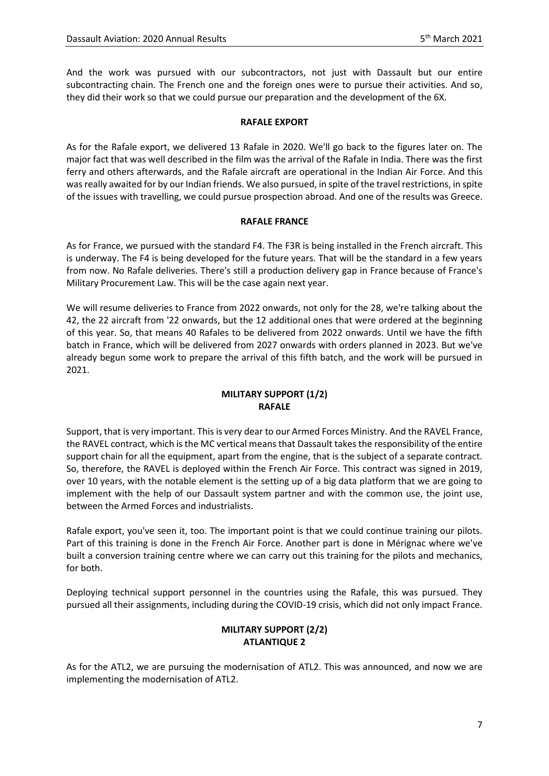And the work was pursued with our subcontractors, not just with Dassault but our entire subcontracting chain. The French one and the foreign ones were to pursue their activities. And so, they did their work so that we could pursue our preparation and the development of the 6X.

### **RAFALE EXPORT**

As for the Rafale export, we delivered 13 Rafale in 2020. We'll go back to the figures later on. The major fact that was well described in the film was the arrival of the Rafale in India. There was the first ferry and others afterwards, and the Rafale aircraft are operational in the Indian Air Force. And this was really awaited for by our Indian friends. We also pursued, in spite of the travel restrictions, in spite of the issues with travelling, we could pursue prospection abroad. And one of the results was Greece.

## **RAFALE FRANCE**

As for France, we pursued with the standard F4. The F3R is being installed in the French aircraft. This is underway. The F4 is being developed for the future years. That will be the standard in a few years from now. No Rafale deliveries. There's still a production delivery gap in France because of France's Military Procurement Law. This will be the case again next year.

We will resume deliveries to France from 2022 onwards, not only for the 28, we're talking about the 42, the 22 aircraft from '22 onwards, but the 12 additional ones that were ordered at the beginning of this year. So, that means 40 Rafales to be delivered from 2022 onwards. Until we have the fifth batch in France, which will be delivered from 2027 onwards with orders planned in 2023. But we've already begun some work to prepare the arrival of this fifth batch, and the work will be pursued in 2021.

# **MILITARY SUPPORT (1/2) RAFALE**

Support, that is very important. This is very dear to our Armed Forces Ministry. And the RAVEL France, the RAVEL contract, which is the MC vertical means that Dassault takes the responsibility of the entire support chain for all the equipment, apart from the engine, that is the subject of a separate contract. So, therefore, the RAVEL is deployed within the French Air Force. This contract was signed in 2019, over 10 years, with the notable element is the setting up of a big data platform that we are going to implement with the help of our Dassault system partner and with the common use, the joint use, between the Armed Forces and industrialists.

Rafale export, you've seen it, too. The important point is that we could continue training our pilots. Part of this training is done in the French Air Force. Another part is done in Mérignac where we've built a conversion training centre where we can carry out this training for the pilots and mechanics, for both.

Deploying technical support personnel in the countries using the Rafale, this was pursued. They pursued all their assignments, including during the COVID-19 crisis, which did not only impact France.

# **MILITARY SUPPORT (2/2) ATLANTIQUE 2**

As for the ATL2, we are pursuing the modernisation of ATL2. This was announced, and now we are implementing the modernisation of ATL2.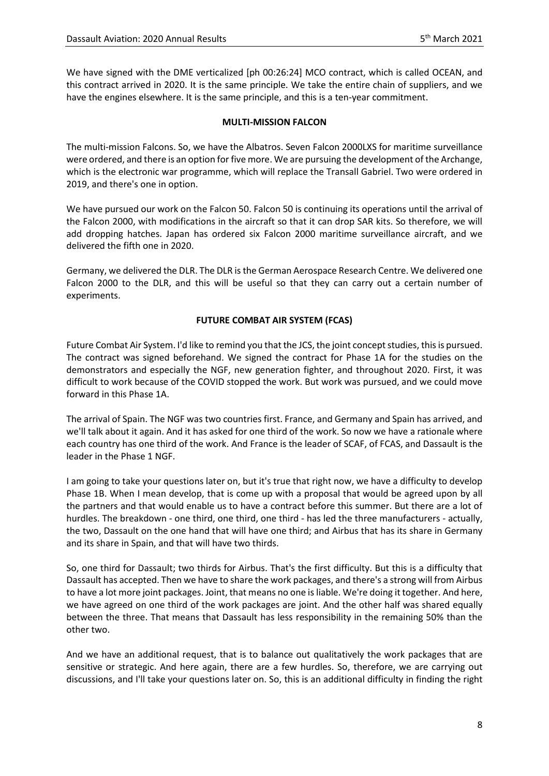We have signed with the DME verticalized [ph 00:26:24] MCO contract, which is called OCEAN, and this contract arrived in 2020. It is the same principle. We take the entire chain of suppliers, and we have the engines elsewhere. It is the same principle, and this is a ten-year commitment.

# **MULTI-MISSION FALCON**

The multi-mission Falcons. So, we have the Albatros. Seven Falcon 2000LXS for maritime surveillance were ordered, and there is an option for five more. We are pursuing the development of the Archange, which is the electronic war programme, which will replace the Transall Gabriel. Two were ordered in 2019, and there's one in option.

We have pursued our work on the Falcon 50. Falcon 50 is continuing its operations until the arrival of the Falcon 2000, with modifications in the aircraft so that it can drop SAR kits. So therefore, we will add dropping hatches. Japan has ordered six Falcon 2000 maritime surveillance aircraft, and we delivered the fifth one in 2020.

Germany, we delivered the DLR. The DLR is the German Aerospace Research Centre. We delivered one Falcon 2000 to the DLR, and this will be useful so that they can carry out a certain number of experiments.

## **FUTURE COMBAT AIR SYSTEM (FCAS)**

Future Combat Air System. I'd like to remind you that the JCS, the joint concept studies, this is pursued. The contract was signed beforehand. We signed the contract for Phase 1A for the studies on the demonstrators and especially the NGF, new generation fighter, and throughout 2020. First, it was difficult to work because of the COVID stopped the work. But work was pursued, and we could move forward in this Phase 1A.

The arrival of Spain. The NGF was two countries first. France, and Germany and Spain has arrived, and we'll talk about it again. And it has asked for one third of the work. So now we have a rationale where each country has one third of the work. And France is the leader of SCAF, of FCAS, and Dassault is the leader in the Phase 1 NGF.

I am going to take your questions later on, but it's true that right now, we have a difficulty to develop Phase 1B. When I mean develop, that is come up with a proposal that would be agreed upon by all the partners and that would enable us to have a contract before this summer. But there are a lot of hurdles. The breakdown - one third, one third, one third - has led the three manufacturers - actually, the two, Dassault on the one hand that will have one third; and Airbus that has its share in Germany and its share in Spain, and that will have two thirds.

So, one third for Dassault; two thirds for Airbus. That's the first difficulty. But this is a difficulty that Dassault has accepted. Then we have to share the work packages, and there's a strong will from Airbus to have a lot more joint packages. Joint, that means no one is liable. We're doing it together. And here, we have agreed on one third of the work packages are joint. And the other half was shared equally between the three. That means that Dassault has less responsibility in the remaining 50% than the other two.

And we have an additional request, that is to balance out qualitatively the work packages that are sensitive or strategic. And here again, there are a few hurdles. So, therefore, we are carrying out discussions, and I'll take your questions later on. So, this is an additional difficulty in finding the right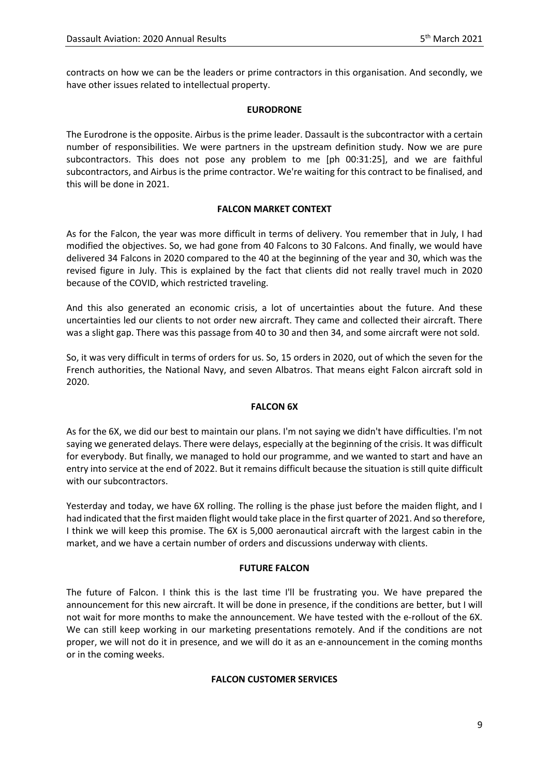contracts on how we can be the leaders or prime contractors in this organisation. And secondly, we have other issues related to intellectual property.

### **EURODRONE**

The Eurodrone is the opposite. Airbus is the prime leader. Dassault is the subcontractor with a certain number of responsibilities. We were partners in the upstream definition study. Now we are pure subcontractors. This does not pose any problem to me [ph 00:31:25], and we are faithful subcontractors, and Airbus is the prime contractor. We're waiting for this contract to be finalised, and this will be done in 2021.

## **FALCON MARKET CONTEXT**

As for the Falcon, the year was more difficult in terms of delivery. You remember that in July, I had modified the objectives. So, we had gone from 40 Falcons to 30 Falcons. And finally, we would have delivered 34 Falcons in 2020 compared to the 40 at the beginning of the year and 30, which was the revised figure in July. This is explained by the fact that clients did not really travel much in 2020 because of the COVID, which restricted traveling.

And this also generated an economic crisis, a lot of uncertainties about the future. And these uncertainties led our clients to not order new aircraft. They came and collected their aircraft. There was a slight gap. There was this passage from 40 to 30 and then 34, and some aircraft were not sold.

So, it was very difficult in terms of orders for us. So, 15 orders in 2020, out of which the seven for the French authorities, the National Navy, and seven Albatros. That means eight Falcon aircraft sold in 2020.

#### **FALCON 6X**

As for the 6X, we did our best to maintain our plans. I'm not saying we didn't have difficulties. I'm not saying we generated delays. There were delays, especially at the beginning of the crisis. It was difficult for everybody. But finally, we managed to hold our programme, and we wanted to start and have an entry into service at the end of 2022. But it remains difficult because the situation is still quite difficult with our subcontractors.

Yesterday and today, we have 6X rolling. The rolling is the phase just before the maiden flight, and I had indicated that the first maiden flight would take place in the first quarter of 2021. And so therefore, I think we will keep this promise. The 6X is 5,000 aeronautical aircraft with the largest cabin in the market, and we have a certain number of orders and discussions underway with clients.

#### **FUTURE FALCON**

The future of Falcon. I think this is the last time I'll be frustrating you. We have prepared the announcement for this new aircraft. It will be done in presence, if the conditions are better, but I will not wait for more months to make the announcement. We have tested with the e-rollout of the 6X. We can still keep working in our marketing presentations remotely. And if the conditions are not proper, we will not do it in presence, and we will do it as an e-announcement in the coming months or in the coming weeks.

# **FALCON CUSTOMER SERVICES**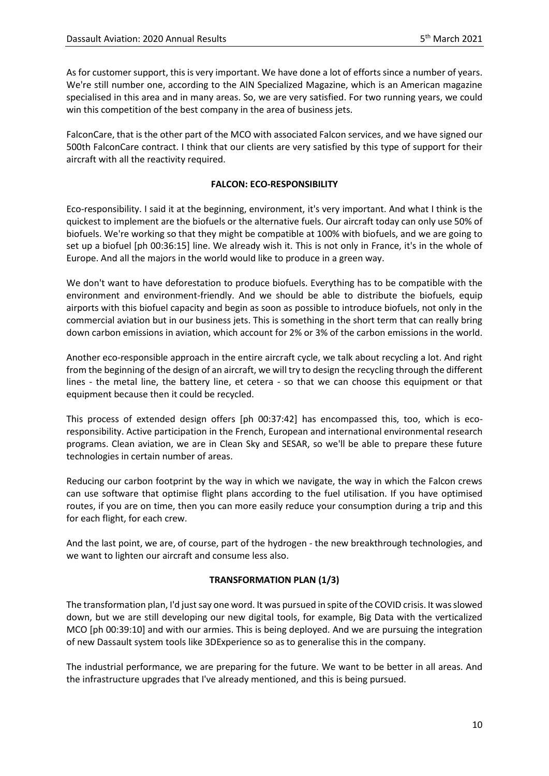As for customer support, this is very important. We have done a lot of efforts since a number of years. We're still number one, according to the AIN Specialized Magazine, which is an American magazine specialised in this area and in many areas. So, we are very satisfied. For two running years, we could win this competition of the best company in the area of business jets.

FalconCare, that is the other part of the MCO with associated Falcon services, and we have signed our 500th FalconCare contract. I think that our clients are very satisfied by this type of support for their aircraft with all the reactivity required.

### **FALCON: ECO-RESPONSIBILITY**

Eco-responsibility. I said it at the beginning, environment, it's very important. And what I think is the quickest to implement are the biofuels or the alternative fuels. Our aircraft today can only use 50% of biofuels. We're working so that they might be compatible at 100% with biofuels, and we are going to set up a biofuel [ph 00:36:15] line. We already wish it. This is not only in France, it's in the whole of Europe. And all the majors in the world would like to produce in a green way.

We don't want to have deforestation to produce biofuels. Everything has to be compatible with the environment and environment-friendly. And we should be able to distribute the biofuels, equip airports with this biofuel capacity and begin as soon as possible to introduce biofuels, not only in the commercial aviation but in our business jets. This is something in the short term that can really bring down carbon emissions in aviation, which account for 2% or 3% of the carbon emissions in the world.

Another eco-responsible approach in the entire aircraft cycle, we talk about recycling a lot. And right from the beginning of the design of an aircraft, we will try to design the recycling through the different lines - the metal line, the battery line, et cetera - so that we can choose this equipment or that equipment because then it could be recycled.

This process of extended design offers [ph 00:37:42] has encompassed this, too, which is ecoresponsibility. Active participation in the French, European and international environmental research programs. Clean aviation, we are in Clean Sky and SESAR, so we'll be able to prepare these future technologies in certain number of areas.

Reducing our carbon footprint by the way in which we navigate, the way in which the Falcon crews can use software that optimise flight plans according to the fuel utilisation. If you have optimised routes, if you are on time, then you can more easily reduce your consumption during a trip and this for each flight, for each crew.

And the last point, we are, of course, part of the hydrogen - the new breakthrough technologies, and we want to lighten our aircraft and consume less also.

# **TRANSFORMATION PLAN (1/3)**

The transformation plan, I'd just say one word. It was pursued in spite of the COVID crisis. It was slowed down, but we are still developing our new digital tools, for example, Big Data with the verticalized MCO [ph 00:39:10] and with our armies. This is being deployed. And we are pursuing the integration of new Dassault system tools like 3DExperience so as to generalise this in the company.

The industrial performance, we are preparing for the future. We want to be better in all areas. And the infrastructure upgrades that I've already mentioned, and this is being pursued.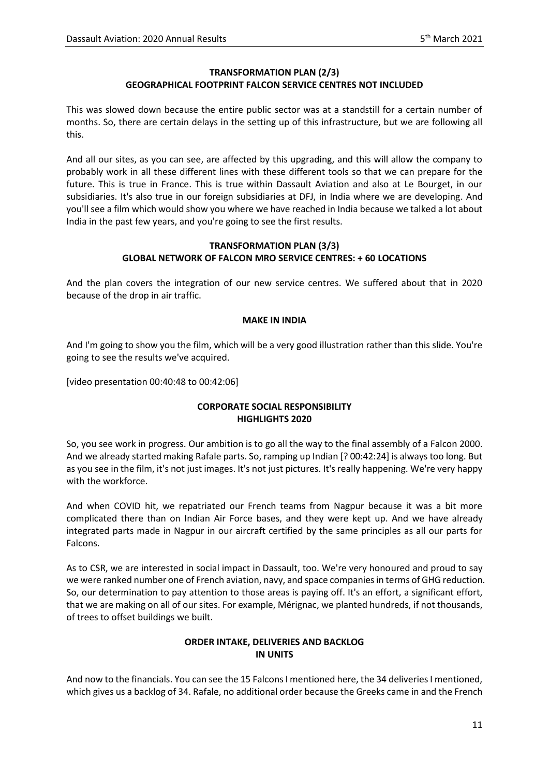# **TRANSFORMATION PLAN (2/3) GEOGRAPHICAL FOOTPRINT FALCON SERVICE CENTRES NOT INCLUDED**

This was slowed down because the entire public sector was at a standstill for a certain number of months. So, there are certain delays in the setting up of this infrastructure, but we are following all this.

And all our sites, as you can see, are affected by this upgrading, and this will allow the company to probably work in all these different lines with these different tools so that we can prepare for the future. This is true in France. This is true within Dassault Aviation and also at Le Bourget, in our subsidiaries. It's also true in our foreign subsidiaries at DFJ, in India where we are developing. And you'll see a film which would show you where we have reached in India because we talked a lot about India in the past few years, and you're going to see the first results.

### **TRANSFORMATION PLAN (3/3) GLOBAL NETWORK OF FALCON MRO SERVICE CENTRES: + 60 LOCATIONS**

And the plan covers the integration of our new service centres. We suffered about that in 2020 because of the drop in air traffic.

## **MAKE IN INDIA**

And I'm going to show you the film, which will be a very good illustration rather than this slide. You're going to see the results we've acquired.

[video presentation 00:40:48 to 00:42:06]

# **CORPORATE SOCIAL RESPONSIBILITY HIGHLIGHTS 2020**

So, you see work in progress. Our ambition is to go all the way to the final assembly of a Falcon 2000. And we already started making Rafale parts. So, ramping up Indian [? 00:42:24] is always too long. But as you see in the film, it's not just images. It's not just pictures. It's really happening. We're very happy with the workforce.

And when COVID hit, we repatriated our French teams from Nagpur because it was a bit more complicated there than on Indian Air Force bases, and they were kept up. And we have already integrated parts made in Nagpur in our aircraft certified by the same principles as all our parts for Falcons.

As to CSR, we are interested in social impact in Dassault, too. We're very honoured and proud to say we were ranked number one of French aviation, navy, and space companies in terms of GHG reduction. So, our determination to pay attention to those areas is paying off. It's an effort, a significant effort, that we are making on all of our sites. For example, Mérignac, we planted hundreds, if not thousands, of trees to offset buildings we built.

# **ORDER INTAKE, DELIVERIES AND BACKLOG IN UNITS**

And now to the financials. You can see the 15 Falcons I mentioned here, the 34 deliveries I mentioned, which gives us a backlog of 34. Rafale, no additional order because the Greeks came in and the French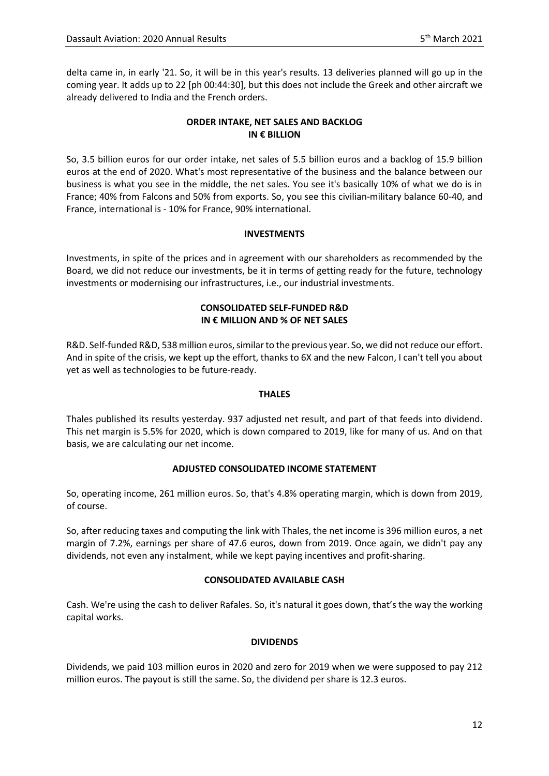delta came in, in early '21. So, it will be in this year's results. 13 deliveries planned will go up in the coming year. It adds up to 22 [ph 00:44:30], but this does not include the Greek and other aircraft we already delivered to India and the French orders.

# **ORDER INTAKE, NET SALES AND BACKLOG IN € BILLION**

So, 3.5 billion euros for our order intake, net sales of 5.5 billion euros and a backlog of 15.9 billion euros at the end of 2020. What's most representative of the business and the balance between our business is what you see in the middle, the net sales. You see it's basically 10% of what we do is in France; 40% from Falcons and 50% from exports. So, you see this civilian-military balance 60-40, and France, international is - 10% for France, 90% international.

## **INVESTMENTS**

Investments, in spite of the prices and in agreement with our shareholders as recommended by the Board, we did not reduce our investments, be it in terms of getting ready for the future, technology investments or modernising our infrastructures, i.e., our industrial investments.

## **CONSOLIDATED SELF-FUNDED R&D IN € MILLION AND % OF NET SALES**

R&D. Self-funded R&D, 538 million euros, similar to the previous year. So, we did not reduce our effort. And in spite of the crisis, we kept up the effort, thanks to 6X and the new Falcon, I can't tell you about yet as well as technologies to be future-ready.

#### **THALES**

Thales published its results yesterday. 937 adjusted net result, and part of that feeds into dividend. This net margin is 5.5% for 2020, which is down compared to 2019, like for many of us. And on that basis, we are calculating our net income.

# **ADJUSTED CONSOLIDATED INCOME STATEMENT**

So, operating income, 261 million euros. So, that's 4.8% operating margin, which is down from 2019, of course.

So, after reducing taxes and computing the link with Thales, the net income is 396 million euros, a net margin of 7.2%, earnings per share of 47.6 euros, down from 2019. Once again, we didn't pay any dividends, not even any instalment, while we kept paying incentives and profit-sharing.

# **CONSOLIDATED AVAILABLE CASH**

Cash. We're using the cash to deliver Rafales. So, it's natural it goes down, that's the way the working capital works.

#### **DIVIDENDS**

Dividends, we paid 103 million euros in 2020 and zero for 2019 when we were supposed to pay 212 million euros. The payout is still the same. So, the dividend per share is 12.3 euros.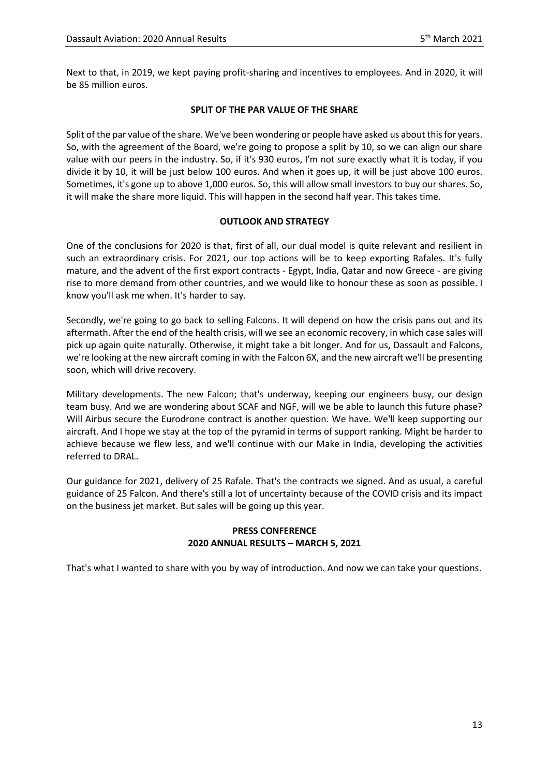Next to that, in 2019, we kept paying profit-sharing and incentives to employees. And in 2020, it will be 85 million euros.

## **SPLIT OF THE PAR VALUE OF THE SHARE**

Split of the par value of the share. We've been wondering or people have asked us about this for years. So, with the agreement of the Board, we're going to propose a split by 10, so we can align our share value with our peers in the industry. So, if it's 930 euros, I'm not sure exactly what it is today, if you divide it by 10, it will be just below 100 euros. And when it goes up, it will be just above 100 euros. Sometimes, it's gone up to above 1,000 euros. So, this will allow small investors to buy our shares. So, it will make the share more liquid. This will happen in the second half year. This takes time.

## **OUTLOOK AND STRATEGY**

One of the conclusions for 2020 is that, first of all, our dual model is quite relevant and resilient in such an extraordinary crisis. For 2021, our top actions will be to keep exporting Rafales. It's fully mature, and the advent of the first export contracts - Egypt, India, Qatar and now Greece - are giving rise to more demand from other countries, and we would like to honour these as soon as possible. I know you'll ask me when. It's harder to say.

Secondly, we're going to go back to selling Falcons. It will depend on how the crisis pans out and its aftermath. After the end of the health crisis, will we see an economic recovery, in which case sales will pick up again quite naturally. Otherwise, it might take a bit longer. And for us, Dassault and Falcons, we're looking at the new aircraft coming in with the Falcon 6X, and the new aircraft we'll be presenting soon, which will drive recovery.

Military developments. The new Falcon; that's underway, keeping our engineers busy, our design team busy. And we are wondering about SCAF and NGF, will we be able to launch this future phase? Will Airbus secure the Eurodrone contract is another question. We have. We'll keep supporting our aircraft. And I hope we stay at the top of the pyramid in terms of support ranking. Might be harder to achieve because we flew less, and we'll continue with our Make in India, developing the activities referred to DRAL.

Our guidance for 2021, delivery of 25 Rafale. That's the contracts we signed. And as usual, a careful guidance of 25 Falcon. And there's still a lot of uncertainty because of the COVID crisis and its impact on the business jet market. But sales will be going up this year.

# **PRESS CONFERENCE 2020 ANNUAL RESULTS – MARCH 5, 2021**

That's what I wanted to share with you by way of introduction. And now we can take your questions.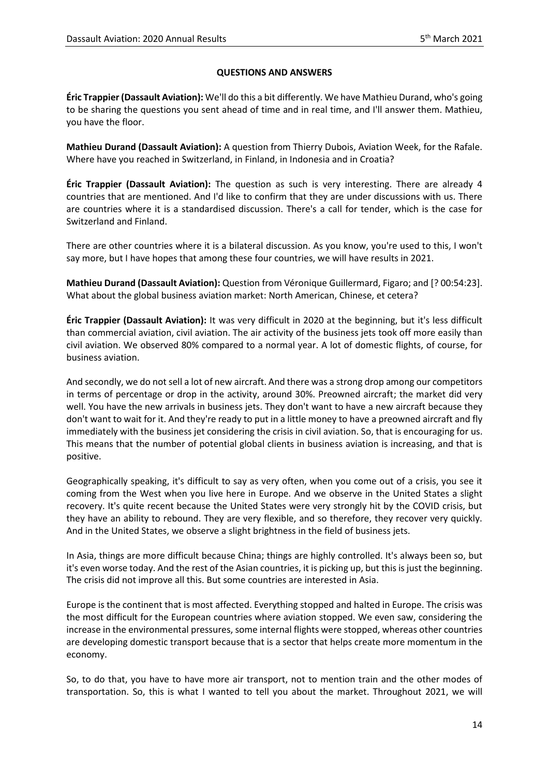## **QUESTIONS AND ANSWERS**

**Éric Trappier (Dassault Aviation):** We'll do this a bit differently. We have Mathieu Durand, who's going to be sharing the questions you sent ahead of time and in real time, and I'll answer them. Mathieu, you have the floor.

**Mathieu Durand (Dassault Aviation):** A question from Thierry Dubois, Aviation Week, for the Rafale. Where have you reached in Switzerland, in Finland, in Indonesia and in Croatia?

**Éric Trappier (Dassault Aviation):** The question as such is very interesting. There are already 4 countries that are mentioned. And I'd like to confirm that they are under discussions with us. There are countries where it is a standardised discussion. There's a call for tender, which is the case for Switzerland and Finland.

There are other countries where it is a bilateral discussion. As you know, you're used to this, I won't say more, but I have hopes that among these four countries, we will have results in 2021.

**Mathieu Durand (Dassault Aviation):** Question from Véronique Guillermard, Figaro; and [? 00:54:23]. What about the global business aviation market: North American, Chinese, et cetera?

**Éric Trappier (Dassault Aviation):** It was very difficult in 2020 at the beginning, but it's less difficult than commercial aviation, civil aviation. The air activity of the business jets took off more easily than civil aviation. We observed 80% compared to a normal year. A lot of domestic flights, of course, for business aviation.

And secondly, we do not sell a lot of new aircraft. And there was a strong drop among our competitors in terms of percentage or drop in the activity, around 30%. Preowned aircraft; the market did very well. You have the new arrivals in business jets. They don't want to have a new aircraft because they don't want to wait for it. And they're ready to put in a little money to have a preowned aircraft and fly immediately with the business jet considering the crisis in civil aviation. So, that is encouraging for us. This means that the number of potential global clients in business aviation is increasing, and that is positive.

Geographically speaking, it's difficult to say as very often, when you come out of a crisis, you see it coming from the West when you live here in Europe. And we observe in the United States a slight recovery. It's quite recent because the United States were very strongly hit by the COVID crisis, but they have an ability to rebound. They are very flexible, and so therefore, they recover very quickly. And in the United States, we observe a slight brightness in the field of business jets.

In Asia, things are more difficult because China; things are highly controlled. It's always been so, but it's even worse today. And the rest of the Asian countries, it is picking up, but this is just the beginning. The crisis did not improve all this. But some countries are interested in Asia.

Europe is the continent that is most affected. Everything stopped and halted in Europe. The crisis was the most difficult for the European countries where aviation stopped. We even saw, considering the increase in the environmental pressures, some internal flights were stopped, whereas other countries are developing domestic transport because that is a sector that helps create more momentum in the economy.

So, to do that, you have to have more air transport, not to mention train and the other modes of transportation. So, this is what I wanted to tell you about the market. Throughout 2021, we will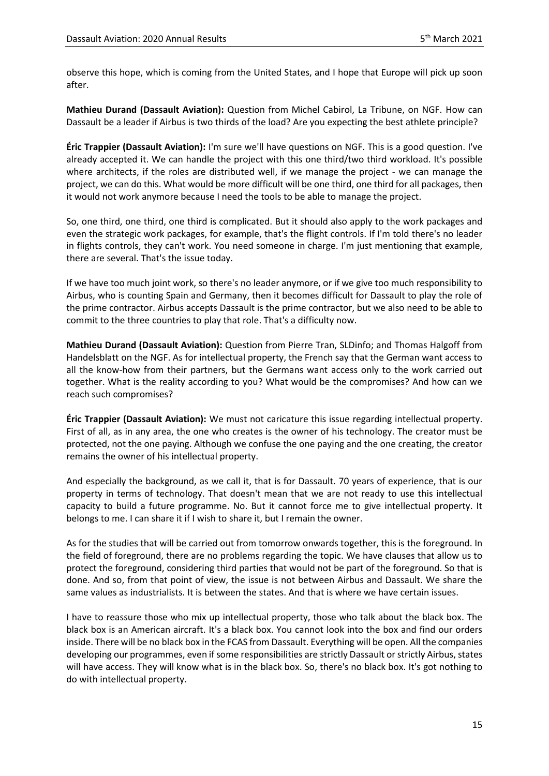observe this hope, which is coming from the United States, and I hope that Europe will pick up soon after.

**Mathieu Durand (Dassault Aviation):** Question from Michel Cabirol, La Tribune, on NGF. How can Dassault be a leader if Airbus is two thirds of the load? Are you expecting the best athlete principle?

**Éric Trappier (Dassault Aviation):** I'm sure we'll have questions on NGF. This is a good question. I've already accepted it. We can handle the project with this one third/two third workload. It's possible where architects, if the roles are distributed well, if we manage the project - we can manage the project, we can do this. What would be more difficult will be one third, one third for all packages, then it would not work anymore because I need the tools to be able to manage the project.

So, one third, one third, one third is complicated. But it should also apply to the work packages and even the strategic work packages, for example, that's the flight controls. If I'm told there's no leader in flights controls, they can't work. You need someone in charge. I'm just mentioning that example, there are several. That's the issue today.

If we have too much joint work, so there's no leader anymore, or if we give too much responsibility to Airbus, who is counting Spain and Germany, then it becomes difficult for Dassault to play the role of the prime contractor. Airbus accepts Dassault is the prime contractor, but we also need to be able to commit to the three countries to play that role. That's a difficulty now.

**Mathieu Durand (Dassault Aviation):** Question from Pierre Tran, SLDinfo; and Thomas Halgoff from Handelsblatt on the NGF. As for intellectual property, the French say that the German want access to all the know-how from their partners, but the Germans want access only to the work carried out together. What is the reality according to you? What would be the compromises? And how can we reach such compromises?

**Éric Trappier (Dassault Aviation):** We must not caricature this issue regarding intellectual property. First of all, as in any area, the one who creates is the owner of his technology. The creator must be protected, not the one paying. Although we confuse the one paying and the one creating, the creator remains the owner of his intellectual property.

And especially the background, as we call it, that is for Dassault. 70 years of experience, that is our property in terms of technology. That doesn't mean that we are not ready to use this intellectual capacity to build a future programme. No. But it cannot force me to give intellectual property. It belongs to me. I can share it if I wish to share it, but I remain the owner.

As for the studies that will be carried out from tomorrow onwards together, this is the foreground. In the field of foreground, there are no problems regarding the topic. We have clauses that allow us to protect the foreground, considering third parties that would not be part of the foreground. So that is done. And so, from that point of view, the issue is not between Airbus and Dassault. We share the same values as industrialists. It is between the states. And that is where we have certain issues.

I have to reassure those who mix up intellectual property, those who talk about the black box. The black box is an American aircraft. It's a black box. You cannot look into the box and find our orders inside. There will be no black box in the FCAS from Dassault. Everything will be open. All the companies developing our programmes, even if some responsibilities are strictly Dassault or strictly Airbus, states will have access. They will know what is in the black box. So, there's no black box. It's got nothing to do with intellectual property.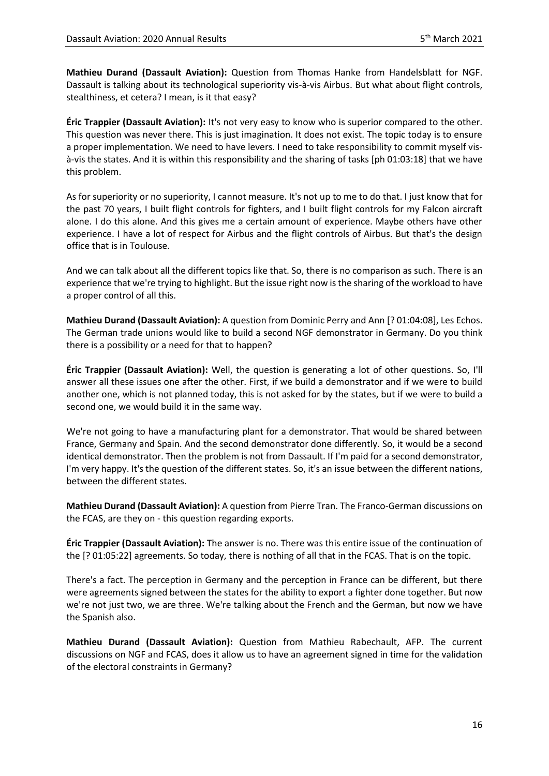**Mathieu Durand (Dassault Aviation):** Question from Thomas Hanke from Handelsblatt for NGF. Dassault is talking about its technological superiority vis-à-vis Airbus. But what about flight controls, stealthiness, et cetera? I mean, is it that easy?

**Éric Trappier (Dassault Aviation):** It's not very easy to know who is superior compared to the other. This question was never there. This is just imagination. It does not exist. The topic today is to ensure a proper implementation. We need to have levers. I need to take responsibility to commit myself visà-vis the states. And it is within this responsibility and the sharing of tasks [ph 01:03:18] that we have this problem.

As for superiority or no superiority, I cannot measure. It's not up to me to do that. I just know that for the past 70 years, I built flight controls for fighters, and I built flight controls for my Falcon aircraft alone. I do this alone. And this gives me a certain amount of experience. Maybe others have other experience. I have a lot of respect for Airbus and the flight controls of Airbus. But that's the design office that is in Toulouse.

And we can talk about all the different topics like that. So, there is no comparison as such. There is an experience that we're trying to highlight. But the issue right now is the sharing of the workload to have a proper control of all this.

**Mathieu Durand (Dassault Aviation):** A question from Dominic Perry and Ann [? 01:04:08], Les Echos. The German trade unions would like to build a second NGF demonstrator in Germany. Do you think there is a possibility or a need for that to happen?

**Éric Trappier (Dassault Aviation):** Well, the question is generating a lot of other questions. So, I'll answer all these issues one after the other. First, if we build a demonstrator and if we were to build another one, which is not planned today, this is not asked for by the states, but if we were to build a second one, we would build it in the same way.

We're not going to have a manufacturing plant for a demonstrator. That would be shared between France, Germany and Spain. And the second demonstrator done differently. So, it would be a second identical demonstrator. Then the problem is not from Dassault. If I'm paid for a second demonstrator, I'm very happy. It's the question of the different states. So, it's an issue between the different nations, between the different states.

**Mathieu Durand (Dassault Aviation):** A question from Pierre Tran. The Franco-German discussions on the FCAS, are they on - this question regarding exports.

**Éric Trappier (Dassault Aviation):** The answer is no. There was this entire issue of the continuation of the [? 01:05:22] agreements. So today, there is nothing of all that in the FCAS. That is on the topic.

There's a fact. The perception in Germany and the perception in France can be different, but there were agreements signed between the states for the ability to export a fighter done together. But now we're not just two, we are three. We're talking about the French and the German, but now we have the Spanish also.

**Mathieu Durand (Dassault Aviation):** Question from Mathieu Rabechault, AFP. The current discussions on NGF and FCAS, does it allow us to have an agreement signed in time for the validation of the electoral constraints in Germany?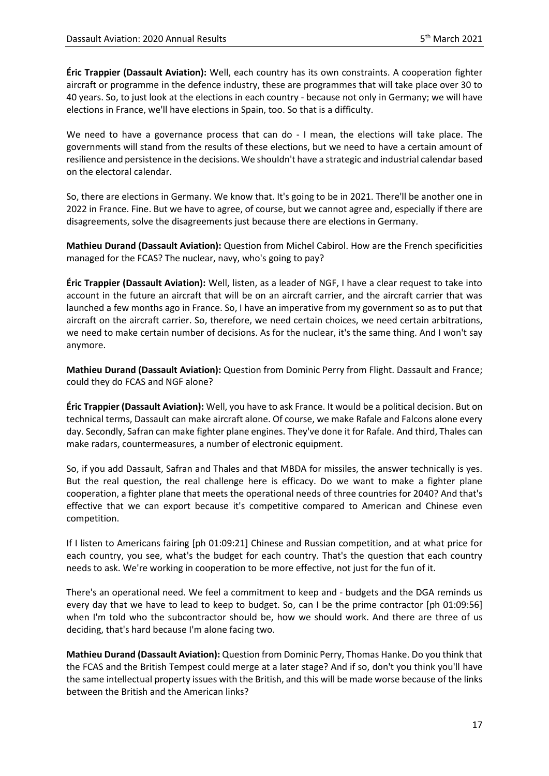**Éric Trappier (Dassault Aviation):** Well, each country has its own constraints. A cooperation fighter aircraft or programme in the defence industry, these are programmes that will take place over 30 to 40 years. So, to just look at the elections in each country - because not only in Germany; we will have elections in France, we'll have elections in Spain, too. So that is a difficulty.

We need to have a governance process that can do - I mean, the elections will take place. The governments will stand from the results of these elections, but we need to have a certain amount of resilience and persistence in the decisions. We shouldn't have a strategic and industrial calendar based on the electoral calendar.

So, there are elections in Germany. We know that. It's going to be in 2021. There'll be another one in 2022 in France. Fine. But we have to agree, of course, but we cannot agree and, especially if there are disagreements, solve the disagreements just because there are elections in Germany.

**Mathieu Durand (Dassault Aviation):** Question from Michel Cabirol. How are the French specificities managed for the FCAS? The nuclear, navy, who's going to pay?

**Éric Trappier (Dassault Aviation):** Well, listen, as a leader of NGF, I have a clear request to take into account in the future an aircraft that will be on an aircraft carrier, and the aircraft carrier that was launched a few months ago in France. So, I have an imperative from my government so as to put that aircraft on the aircraft carrier. So, therefore, we need certain choices, we need certain arbitrations, we need to make certain number of decisions. As for the nuclear, it's the same thing. And I won't say anymore.

**Mathieu Durand (Dassault Aviation):** Question from Dominic Perry from Flight. Dassault and France; could they do FCAS and NGF alone?

**Éric Trappier (Dassault Aviation):** Well, you have to ask France. It would be a political decision. But on technical terms, Dassault can make aircraft alone. Of course, we make Rafale and Falcons alone every day. Secondly, Safran can make fighter plane engines. They've done it for Rafale. And third, Thales can make radars, countermeasures, a number of electronic equipment.

So, if you add Dassault, Safran and Thales and that MBDA for missiles, the answer technically is yes. But the real question, the real challenge here is efficacy. Do we want to make a fighter plane cooperation, a fighter plane that meets the operational needs of three countries for 2040? And that's effective that we can export because it's competitive compared to American and Chinese even competition.

If I listen to Americans fairing [ph 01:09:21] Chinese and Russian competition, and at what price for each country, you see, what's the budget for each country. That's the question that each country needs to ask. We're working in cooperation to be more effective, not just for the fun of it.

There's an operational need. We feel a commitment to keep and - budgets and the DGA reminds us every day that we have to lead to keep to budget. So, can I be the prime contractor [ph 01:09:56] when I'm told who the subcontractor should be, how we should work. And there are three of us deciding, that's hard because I'm alone facing two.

**Mathieu Durand (Dassault Aviation):** Question from Dominic Perry, Thomas Hanke. Do you think that the FCAS and the British Tempest could merge at a later stage? And if so, don't you think you'll have the same intellectual property issues with the British, and this will be made worse because of the links between the British and the American links?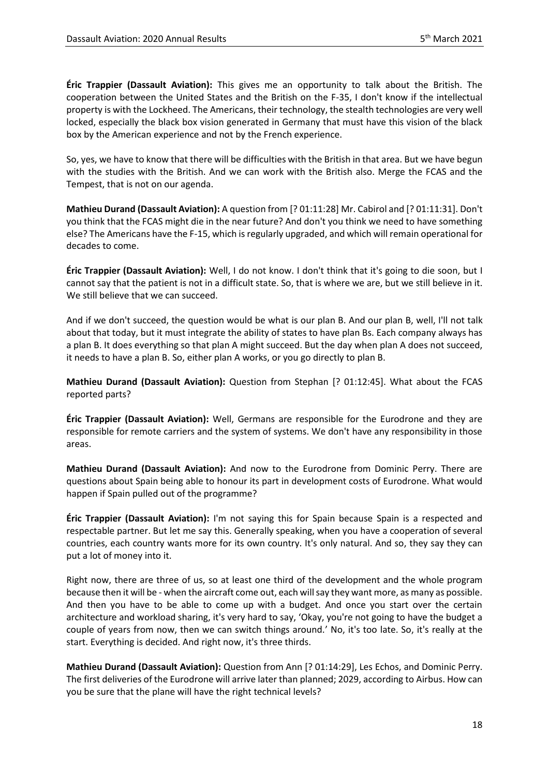**Éric Trappier (Dassault Aviation):** This gives me an opportunity to talk about the British. The cooperation between the United States and the British on the F-35, I don't know if the intellectual property is with the Lockheed. The Americans, their technology, the stealth technologies are very well locked, especially the black box vision generated in Germany that must have this vision of the black box by the American experience and not by the French experience.

So, yes, we have to know that there will be difficulties with the British in that area. But we have begun with the studies with the British. And we can work with the British also. Merge the FCAS and the Tempest, that is not on our agenda.

**Mathieu Durand (Dassault Aviation):** A question from [? 01:11:28] Mr. Cabirol and [? 01:11:31]. Don't you think that the FCAS might die in the near future? And don't you think we need to have something else? The Americans have the F-15, which is regularly upgraded, and which will remain operational for decades to come.

**Éric Trappier (Dassault Aviation):** Well, I do not know. I don't think that it's going to die soon, but I cannot say that the patient is not in a difficult state. So, that is where we are, but we still believe in it. We still believe that we can succeed.

And if we don't succeed, the question would be what is our plan B. And our plan B, well, I'll not talk about that today, but it must integrate the ability of states to have plan Bs. Each company always has a plan B. It does everything so that plan A might succeed. But the day when plan A does not succeed, it needs to have a plan B. So, either plan A works, or you go directly to plan B.

**Mathieu Durand (Dassault Aviation):** Question from Stephan [? 01:12:45]. What about the FCAS reported parts?

**Éric Trappier (Dassault Aviation):** Well, Germans are responsible for the Eurodrone and they are responsible for remote carriers and the system of systems. We don't have any responsibility in those areas.

**Mathieu Durand (Dassault Aviation):** And now to the Eurodrone from Dominic Perry. There are questions about Spain being able to honour its part in development costs of Eurodrone. What would happen if Spain pulled out of the programme?

**Éric Trappier (Dassault Aviation):** I'm not saying this for Spain because Spain is a respected and respectable partner. But let me say this. Generally speaking, when you have a cooperation of several countries, each country wants more for its own country. It's only natural. And so, they say they can put a lot of money into it.

Right now, there are three of us, so at least one third of the development and the whole program because then it will be - when the aircraft come out, each will say they want more, as many as possible. And then you have to be able to come up with a budget. And once you start over the certain architecture and workload sharing, it's very hard to say, 'Okay, you're not going to have the budget a couple of years from now, then we can switch things around.' No, it's too late. So, it's really at the start. Everything is decided. And right now, it's three thirds.

**Mathieu Durand (Dassault Aviation):** Question from Ann [? 01:14:29], Les Echos, and Dominic Perry. The first deliveries of the Eurodrone will arrive later than planned; 2029, according to Airbus. How can you be sure that the plane will have the right technical levels?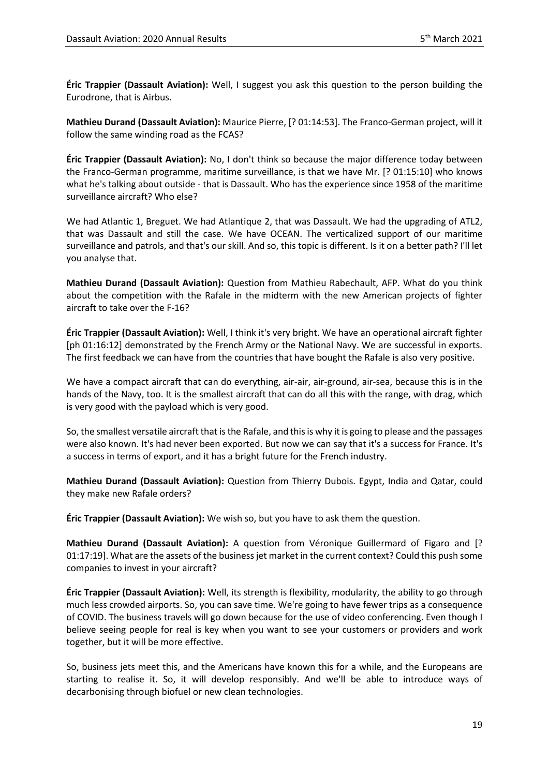**Éric Trappier (Dassault Aviation):** Well, I suggest you ask this question to the person building the Eurodrone, that is Airbus.

**Mathieu Durand (Dassault Aviation):** Maurice Pierre, [? 01:14:53]. The Franco-German project, will it follow the same winding road as the FCAS?

**Éric Trappier (Dassault Aviation):** No, I don't think so because the major difference today between the Franco-German programme, maritime surveillance, is that we have Mr. [? 01:15:10] who knows what he's talking about outside - that is Dassault. Who has the experience since 1958 of the maritime surveillance aircraft? Who else?

We had Atlantic 1, Breguet. We had Atlantique 2, that was Dassault. We had the upgrading of ATL2, that was Dassault and still the case. We have OCEAN. The verticalized support of our maritime surveillance and patrols, and that's our skill. And so, this topic is different. Is it on a better path? I'll let you analyse that.

**Mathieu Durand (Dassault Aviation):** Question from Mathieu Rabechault, AFP. What do you think about the competition with the Rafale in the midterm with the new American projects of fighter aircraft to take over the F-16?

**Éric Trappier (Dassault Aviation):** Well, I think it's very bright. We have an operational aircraft fighter [ph 01:16:12] demonstrated by the French Army or the National Navy. We are successful in exports. The first feedback we can have from the countries that have bought the Rafale is also very positive.

We have a compact aircraft that can do everything, air-air, air-ground, air-sea, because this is in the hands of the Navy, too. It is the smallest aircraft that can do all this with the range, with drag, which is very good with the payload which is very good.

So, the smallest versatile aircraft that is the Rafale, and this is why it is going to please and the passages were also known. It's had never been exported. But now we can say that it's a success for France. It's a success in terms of export, and it has a bright future for the French industry.

**Mathieu Durand (Dassault Aviation):** Question from Thierry Dubois. Egypt, India and Qatar, could they make new Rafale orders?

**Éric Trappier (Dassault Aviation):** We wish so, but you have to ask them the question.

**Mathieu Durand (Dassault Aviation):** A question from Véronique Guillermard of Figaro and [? 01:17:19]. What are the assets of the business jet market in the current context? Could this push some companies to invest in your aircraft?

**Éric Trappier (Dassault Aviation):** Well, its strength is flexibility, modularity, the ability to go through much less crowded airports. So, you can save time. We're going to have fewer trips as a consequence of COVID. The business travels will go down because for the use of video conferencing. Even though I believe seeing people for real is key when you want to see your customers or providers and work together, but it will be more effective.

So, business jets meet this, and the Americans have known this for a while, and the Europeans are starting to realise it. So, it will develop responsibly. And we'll be able to introduce ways of decarbonising through biofuel or new clean technologies.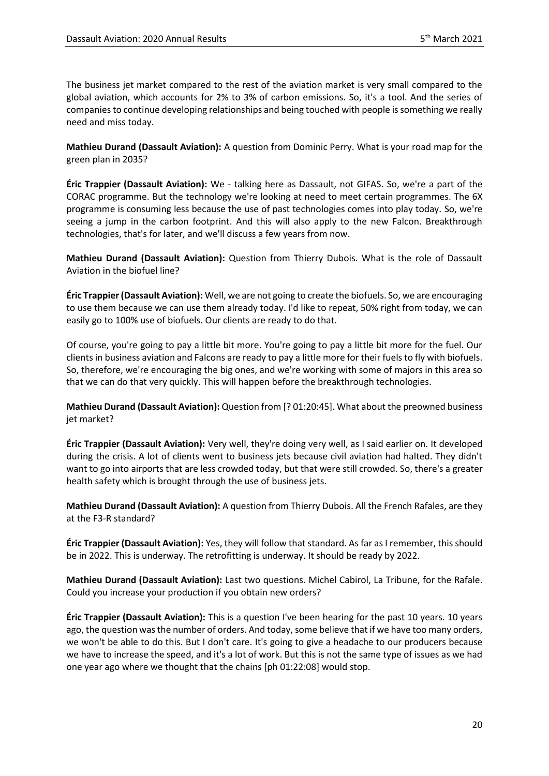The business jet market compared to the rest of the aviation market is very small compared to the global aviation, which accounts for 2% to 3% of carbon emissions. So, it's a tool. And the series of companies to continue developing relationships and being touched with people is something we really need and miss today.

**Mathieu Durand (Dassault Aviation):** A question from Dominic Perry. What is your road map for the green plan in 2035?

**Éric Trappier (Dassault Aviation):** We - talking here as Dassault, not GIFAS. So, we're a part of the CORAC programme. But the technology we're looking at need to meet certain programmes. The 6X programme is consuming less because the use of past technologies comes into play today. So, we're seeing a jump in the carbon footprint. And this will also apply to the new Falcon. Breakthrough technologies, that's for later, and we'll discuss a few years from now.

**Mathieu Durand (Dassault Aviation):** Question from Thierry Dubois. What is the role of Dassault Aviation in the biofuel line?

**Éric Trappier (Dassault Aviation):** Well, we are not going to create the biofuels. So, we are encouraging to use them because we can use them already today. I'd like to repeat, 50% right from today, we can easily go to 100% use of biofuels. Our clients are ready to do that.

Of course, you're going to pay a little bit more. You're going to pay a little bit more for the fuel. Our clients in business aviation and Falcons are ready to pay a little more for their fuels to fly with biofuels. So, therefore, we're encouraging the big ones, and we're working with some of majors in this area so that we can do that very quickly. This will happen before the breakthrough technologies.

**Mathieu Durand (Dassault Aviation):** Question from [? 01:20:45]. What about the preowned business jet market?

**Éric Trappier (Dassault Aviation):** Very well, they're doing very well, as I said earlier on. It developed during the crisis. A lot of clients went to business jets because civil aviation had halted. They didn't want to go into airports that are less crowded today, but that were still crowded. So, there's a greater health safety which is brought through the use of business jets.

**Mathieu Durand (Dassault Aviation):** A question from Thierry Dubois. All the French Rafales, are they at the F3-R standard?

**Éric Trappier (Dassault Aviation):** Yes, they will follow that standard. As far as I remember, this should be in 2022. This is underway. The retrofitting is underway. It should be ready by 2022.

**Mathieu Durand (Dassault Aviation):** Last two questions. Michel Cabirol, La Tribune, for the Rafale. Could you increase your production if you obtain new orders?

**Éric Trappier (Dassault Aviation):** This is a question I've been hearing for the past 10 years. 10 years ago, the question was the number of orders. And today, some believe that if we have too many orders, we won't be able to do this. But I don't care. It's going to give a headache to our producers because we have to increase the speed, and it's a lot of work. But this is not the same type of issues as we had one year ago where we thought that the chains [ph 01:22:08] would stop.